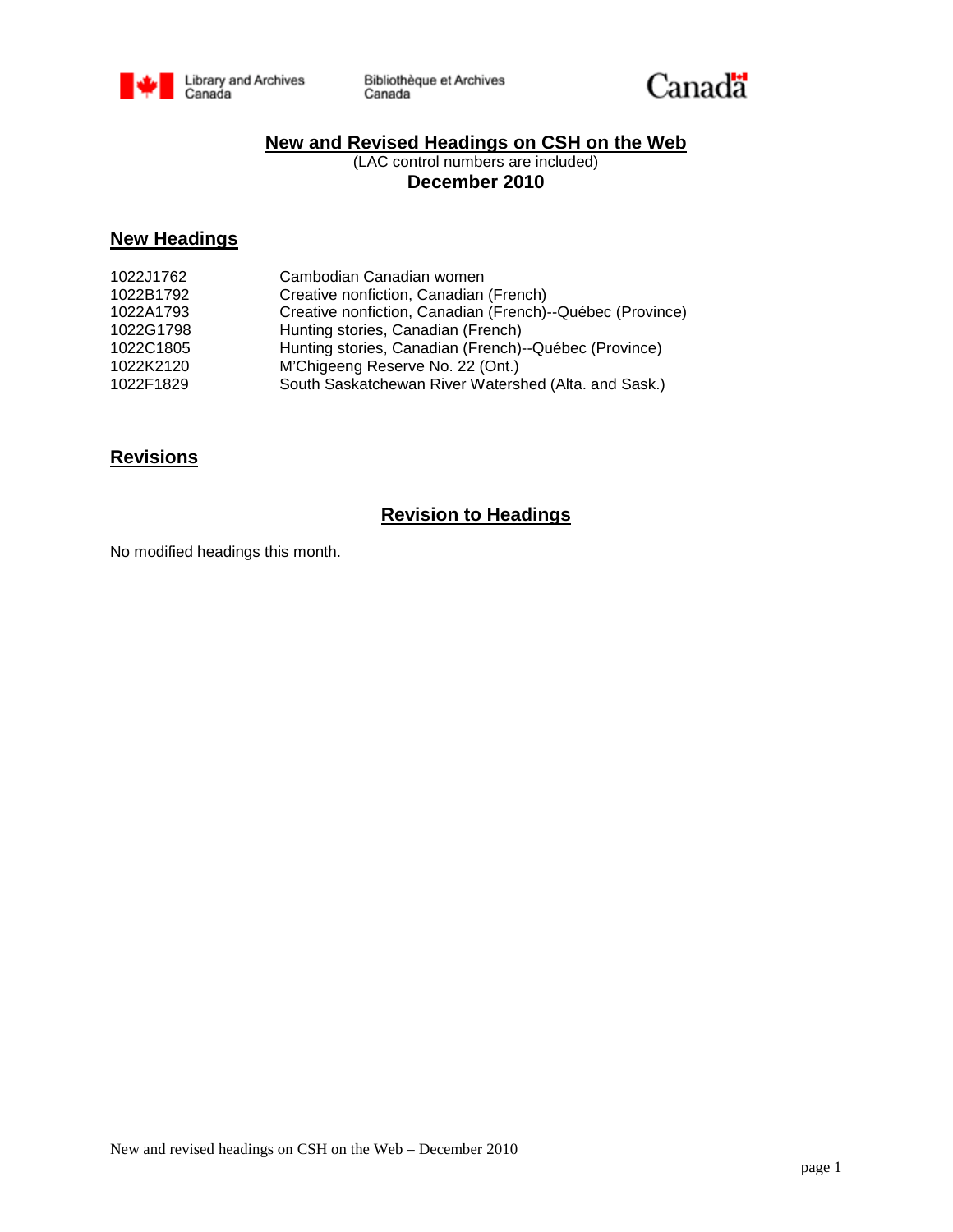



# **New and Revised Headings on CSH on the Web**

(LAC control numbers are included) **December 2010**

## **New Headings**

| 1022J1762 | Cambodian Canadian women                                  |
|-----------|-----------------------------------------------------------|
| 1022B1792 | Creative nonfiction, Canadian (French)                    |
| 1022A1793 | Creative nonfiction, Canadian (French)--Québec (Province) |
| 1022G1798 | Hunting stories, Canadian (French)                        |
| 1022C1805 | Hunting stories, Canadian (French)--Québec (Province)     |
| 1022K2120 | M'Chigeeng Reserve No. 22 (Ont.)                          |
| 1022F1829 | South Saskatchewan River Watershed (Alta. and Sask.)      |
|           |                                                           |

# **Revisions**

## **Revision to Headings**

No modified headings this month.